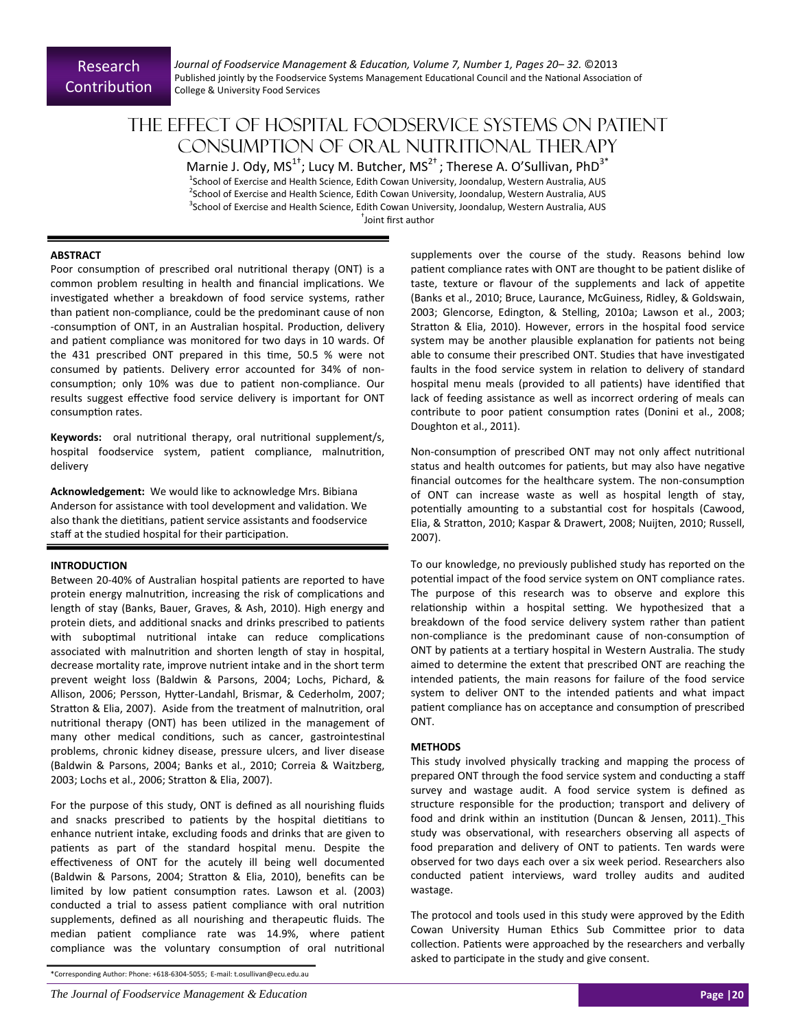*Journal of Foodservice Management & EducaƟon, Volume 7, Number 1, Pages 20– 32.* ©2013 Published jointly by the Foodservice Systems Management Educational Council and the National Association of College & University Food Services

# The effect of hospital foodservice systems on patient consumption of oral nutritional therapy

Marnie J. Ody, MS<sup>1+</sup>; Lucy M. Butcher, MS<sup>2+</sup>; Therese A. O'Sullivan, PhD<sup>3\*</sup> <sup>1</sup>School of Exercise and Health Science, Edith Cowan University, Joondalup, Western Australia, AUS <sup>2</sup>School of Exercise and Health Science, Edith Cowan University, Joondalup, Western Australia, AUS <sup>3</sup>School of Exercise and Health Science, Edith Cowan University, Joondalup, Western Australia, AUS † Joint first author

**ABSTRACT**

Poor consumption of prescribed oral nutritional therapy (ONT) is a common problem resulting in health and financial implications. We investigated whether a breakdown of food service systems, rather than patient non-compliance, could be the predominant cause of non -consumption of ONT, in an Australian hospital. Production, delivery and patient compliance was monitored for two days in 10 wards. Of the 431 prescribed ONT prepared in this time, 50.5 % were not consumed by patients. Delivery error accounted for 34% of nonconsumption; only 10% was due to patient non-compliance. Our results suggest effective food service delivery is important for ONT consumption rates.

**Keywords:** oral nutritional therapy, oral nutritional supplement/s, hospital foodservice system, patient compliance, malnutrition, delivery

Acknowledgement: We would like to acknowledge Mrs. Bibiana Anderson for assistance with tool development and validation. We also thank the dietitians, patient service assistants and foodservice staff at the studied hospital for their participation.

## **INTRODUCTION**

Between 20-40% of Australian hospital patients are reported to have protein energy malnutrition, increasing the risk of complications and length of stay (Banks, Bauer, Graves, & Ash, 2010). High energy and protein diets, and additional snacks and drinks prescribed to patients with suboptimal nutritional intake can reduce complications associated with malnutrition and shorten length of stay in hospital, decrease mortality rate, improve nutrient intake and in the short term prevent weight loss (Baldwin & Parsons, 2004; Lochs, Pichard, & Allison, 2006; Persson, Hytter-Landahl, Brismar, & Cederholm, 2007; Stratton & Elia, 2007). Aside from the treatment of malnutrition, oral nutritional therapy (ONT) has been utilized in the management of many other medical conditions, such as cancer, gastrointestinal problems, chronic kidney disease, pressure ulcers, and liver disease (Baldwin & Parsons, 2004; Banks et al., 2010; Correia & Waitzberg, 2003; Lochs et al., 2006; Stratton & Elia, 2007).

For the purpose of this study, ONT is defined as all nourishing fluids and snacks prescribed to patients by the hospital dietitians to enhance nutrient intake, excluding foods and drinks that are given to patients as part of the standard hospital menu. Despite the effectiveness of ONT for the acutely ill being well documented (Baldwin & Parsons, 2004; Stratton & Elia, 2010), benefits can be limited by low patient consumption rates. Lawson et al. (2003) conducted a trial to assess patient compliance with oral nutrition supplements, defined as all nourishing and therapeutic fluids. The median patient compliance rate was 14.9%, where patient compliance was the voluntary consumption of oral nutritional

\*Corresponding Author: Phone: +618‐6304‐5055; E‐mail: t.osullivan@ecu.edu.au

supplements over the course of the study. Reasons behind low patient compliance rates with ONT are thought to be patient dislike of taste, texture or flavour of the supplements and lack of appetite (Banks et al., 2010; Bruce, Laurance, McGuiness, Ridley, & Goldswain, 2003; Glencorse, Edington, & Stelling, 2010a; Lawson et al., 2003; Stratton & Elia, 2010). However, errors in the hospital food service system may be another plausible explanation for patients not being able to consume their prescribed ONT. Studies that have investigated faults in the food service system in relation to delivery of standard hospital menu meals (provided to all patients) have identified that lack of feeding assistance as well as incorrect ordering of meals can contribute to poor patient consumption rates (Donini et al., 2008; Doughton et al., 2011).

Non-consumption of prescribed ONT may not only affect nutritional status and health outcomes for patients, but may also have negative financial outcomes for the healthcare system. The non-consumption of ONT can increase waste as well as hospital length of stay, potentially amounting to a substantial cost for hospitals (Cawood, Elia, & Stratton, 2010; Kaspar & Drawert, 2008; Nuijten, 2010; Russell, 2007).

To our knowledge, no previously published study has reported on the potential impact of the food service system on ONT compliance rates. The purpose of this research was to observe and explore this relationship within a hospital setting. We hypothesized that a breakdown of the food service delivery system rather than patient non-compliance is the predominant cause of non-consumption of ONT by patients at a tertiary hospital in Western Australia. The study aimed to determine the extent that prescribed ONT are reaching the intended patients, the main reasons for failure of the food service system to deliver ONT to the intended patients and what impact patient compliance has on acceptance and consumption of prescribed ONT.

#### **METHODS**

This study involved physically tracking and mapping the process of prepared ONT through the food service system and conducting a staff survey and wastage audit. A food service system is defined as structure responsible for the production; transport and delivery of food and drink within an institution (Duncan & Jensen, 2011). This study was observational, with researchers observing all aspects of food preparation and delivery of ONT to patients. Ten wards were observed for two days each over a six week period. Researchers also conducted patient interviews, ward trolley audits and audited wastage.

The protocol and tools used in this study were approved by the Edith Cowan University Human Ethics Sub Committee prior to data collection. Patients were approached by the researchers and verbally asked to participate in the study and give consent.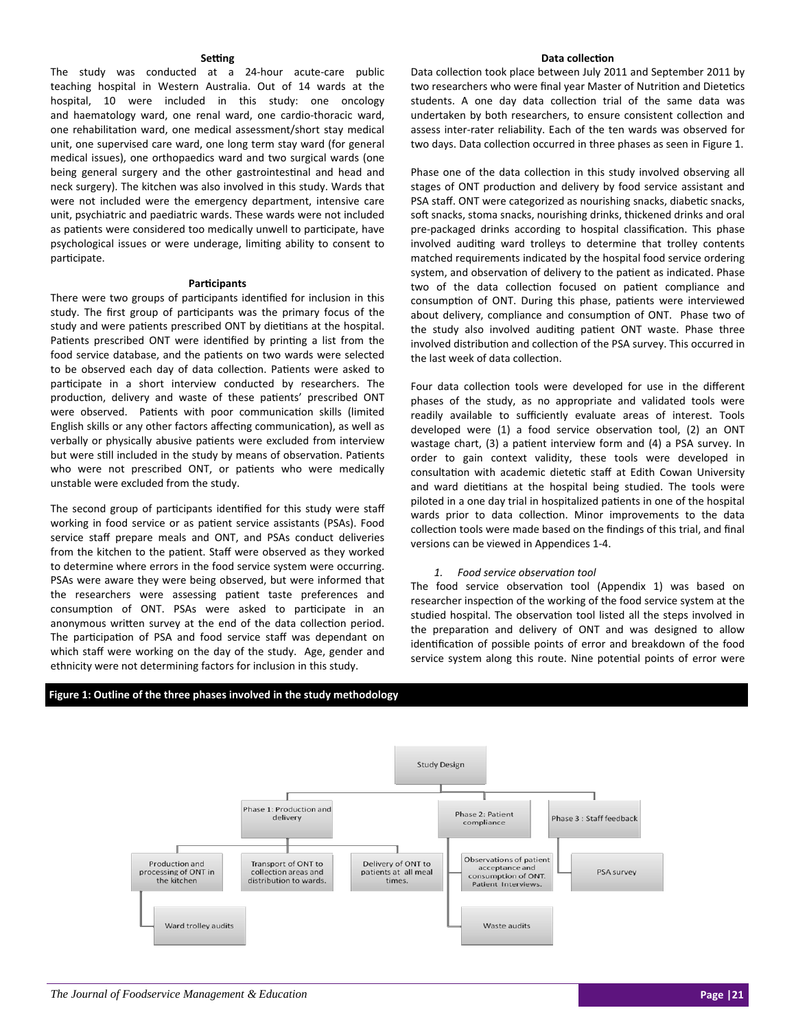#### **Seƫng**

The study was conducted at a 24‐hour acute‐care public teaching hospital in Western Australia. Out of 14 wards at the hospital, 10 were included in this study: one oncology and haematology ward, one renal ward, one cardio‐thoracic ward, one rehabilitation ward, one medical assessment/short stay medical unit, one supervised care ward, one long term stay ward (for general medical issues), one orthopaedics ward and two surgical wards (one being general surgery and the other gastrointestinal and head and neck surgery). The kitchen was also involved in this study. Wards that were not included were the emergency department, intensive care unit, psychiatric and paediatric wards. These wards were not included as patients were considered too medically unwell to participate, have psychological issues or were underage, limiting ability to consent to participate.

#### **ParƟcipants**

There were two groups of participants identified for inclusion in this study. The first group of participants was the primary focus of the study and were patients prescribed ONT by dietitians at the hospital. Patients prescribed ONT were identified by printing a list from the food service database, and the patients on two wards were selected to be observed each day of data collection. Patients were asked to participate in a short interview conducted by researchers. The production, delivery and waste of these patients' prescribed ONT were observed. Patients with poor communication skills (limited English skills or any other factors affecting communication), as well as verbally or physically abusive patients were excluded from interview but were still included in the study by means of observation. Patients who were not prescribed ONT, or patients who were medically unstable were excluded from the study.

The second group of participants identified for this study were staff working in food service or as patient service assistants (PSAs). Food service staff prepare meals and ONT, and PSAs conduct deliveries from the kitchen to the patient. Staff were observed as they worked to determine where errors in the food service system were occurring. PSAs were aware they were being observed, but were informed that the researchers were assessing patient taste preferences and consumption of ONT. PSAs were asked to participate in an anonymous written survey at the end of the data collection period. The participation of PSA and food service staff was dependant on which staff were working on the day of the study. Age, gender and ethnicity were not determining factors for inclusion in this study.

#### **Figure 1: Outline of the three phases involved in the study methodology**

## Data collection took place between July 2011 and September 2011 by

two researchers who were final year Master of Nutrition and Dietetics students. A one day data collection trial of the same data was undertaken by both researchers, to ensure consistent collection and assess inter‐rater reliability. Each of the ten wards was observed for two days. Data collection occurred in three phases as seen in Figure 1.

**Data collecƟon**

Phase one of the data collection in this study involved observing all stages of ONT production and delivery by food service assistant and PSA staff. ONT were categorized as nourishing snacks, diabetic snacks, soft snacks, stoma snacks, nourishing drinks, thickened drinks and oral pre-packaged drinks according to hospital classification. This phase involved auditing ward trolleys to determine that trolley contents matched requirements indicated by the hospital food service ordering system, and observation of delivery to the patient as indicated. Phase two of the data collection focused on patient compliance and consumption of ONT. During this phase, patients were interviewed about delivery, compliance and consumption of ONT. Phase two of the study also involved auditing patient ONT waste. Phase three involved distribution and collection of the PSA survey. This occurred in the last week of data collection.

Four data collection tools were developed for use in the different phases of the study, as no appropriate and validated tools were readily available to sufficiently evaluate areas of interest. Tools developed were (1) a food service observation tool, (2) an ONT wastage chart, (3) a patient interview form and (4) a PSA survey. In order to gain context validity, these tools were developed in consultation with academic dietetic staff at Edith Cowan University and ward dietitians at the hospital being studied. The tools were piloted in a one day trial in hospitalized patients in one of the hospital wards prior to data collection. Minor improvements to the data collection tools were made based on the findings of this trial, and final versions can be viewed in Appendices 1‐4.

#### *1. Food service observaƟon tool*

The food service observation tool (Appendix 1) was based on researcher inspection of the working of the food service system at the studied hospital. The observation tool listed all the steps involved in the preparation and delivery of ONT and was designed to allow identification of possible points of error and breakdown of the food service system along this route. Nine potential points of error were

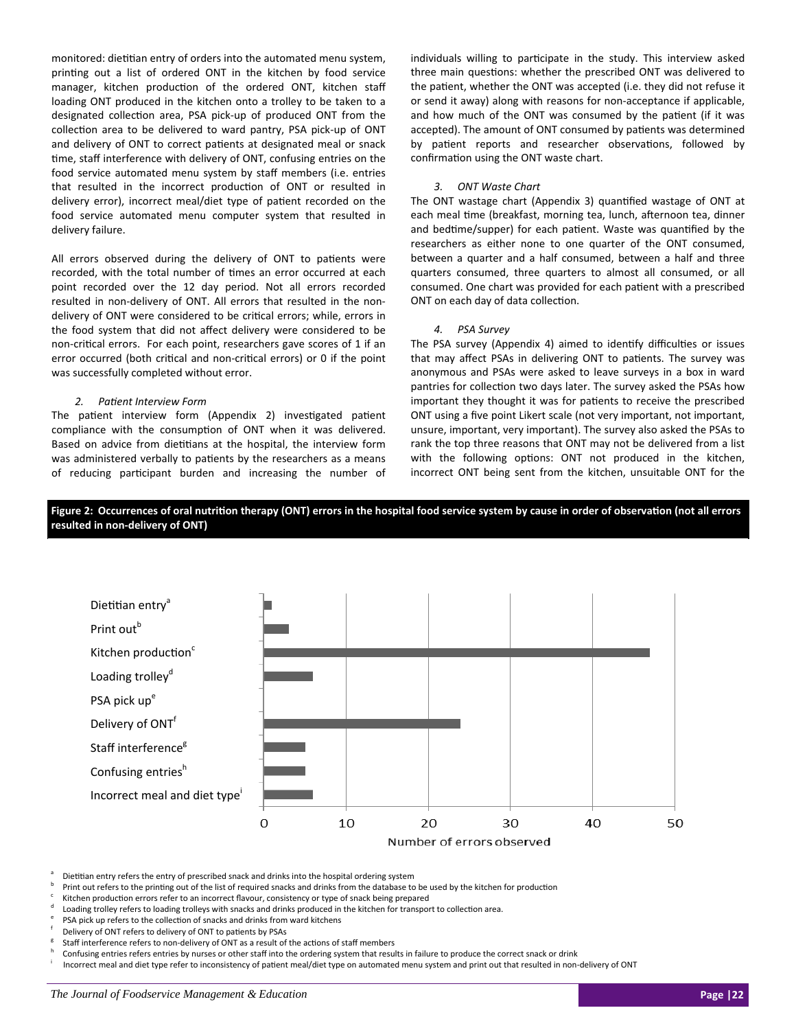monitored: dietitian entry of orders into the automated menu system, printing out a list of ordered ONT in the kitchen by food service manager, kitchen production of the ordered ONT, kitchen staff loading ONT produced in the kitchen onto a trolley to be taken to a designated collection area, PSA pick-up of produced ONT from the collection area to be delivered to ward pantry, PSA pick-up of ONT and delivery of ONT to correct patients at designated meal or snack time, staff interference with delivery of ONT, confusing entries on the food service automated menu system by staff members (i.e. entries that resulted in the incorrect production of ONT or resulted in delivery error), incorrect meal/diet type of patient recorded on the food service automated menu computer system that resulted in delivery failure.

All errors observed during the delivery of ONT to patients were recorded, with the total number of times an error occurred at each point recorded over the 12 day period. Not all errors recorded resulted in non-delivery of ONT. All errors that resulted in the nondelivery of ONT were considered to be critical errors; while, errors in the food system that did not affect delivery were considered to be non-critical errors. For each point, researchers gave scores of 1 if an error occurred (both critical and non-critical errors) or 0 if the point was successfully completed without error.

#### *2. PaƟent Interview Form*

The patient interview form (Appendix 2) investigated patient compliance with the consumption of ONT when it was delivered. Based on advice from dietitians at the hospital, the interview form was administered verbally to patients by the researchers as a means of reducing participant burden and increasing the number of individuals willing to participate in the study. This interview asked three main questions: whether the prescribed ONT was delivered to the patient, whether the ONT was accepted (i.e. they did not refuse it or send it away) along with reasons for non‐acceptance if applicable, and how much of the ONT was consumed by the patient (if it was accepted). The amount of ONT consumed by patients was determined by patient reports and researcher observations, followed by confirmation using the ONT waste chart.

#### *3. ONT Waste Chart*

The ONT wastage chart (Appendix 3) quantified wastage of ONT at each meal time (breakfast, morning tea, lunch, afternoon tea, dinner and bedtime/supper) for each patient. Waste was quantified by the researchers as either none to one quarter of the ONT consumed, between a quarter and a half consumed, between a half and three quarters consumed, three quarters to almost all consumed, or all consumed. One chart was provided for each patient with a prescribed ONT on each day of data collection.

#### *4. PSA Survey*

The PSA survey (Appendix 4) aimed to identify difficulties or issues that may affect PSAs in delivering ONT to patients. The survey was anonymous and PSAs were asked to leave surveys in a box in ward pantries for collection two days later. The survey asked the PSAs how important they thought it was for patients to receive the prescribed ONT using a five point Likert scale (not very important, not important, unsure, important, very important). The survey also asked the PSAs to rank the top three reasons that ONT may not be delivered from a list with the following options: ONT not produced in the kitchen, incorrect ONT being sent from the kitchen, unsuitable ONT for the





Dietitian entry refers the entry of prescribed snack and drinks into the hospital ordering system

Print out refers to the printing out of the list of required snacks and drinks from the database to be used by the kitchen for production

- c Kitchen production errors refer to an incorrect flavour, consistency or type of snack being prepared
- d Loading trolley refers to loading trolleys with snacks and drinks produced in the kitchen for transport to collection area.
- PSA pick up refers to the collection of snacks and drinks from ward kitchens
- Delivery of ONT refers to delivery of ONT to patients by PSAs

Incorrect meal and diet type refer to inconsistency of patient meal/diet type on automated menu system and print out that resulted in non-delivery of ONT

Staff interference refers to non-delivery of ONT as a result of the actions of staff members

Confusing entries refers entries by nurses or other staff into the ordering system that results in failure to produce the correct snack or drink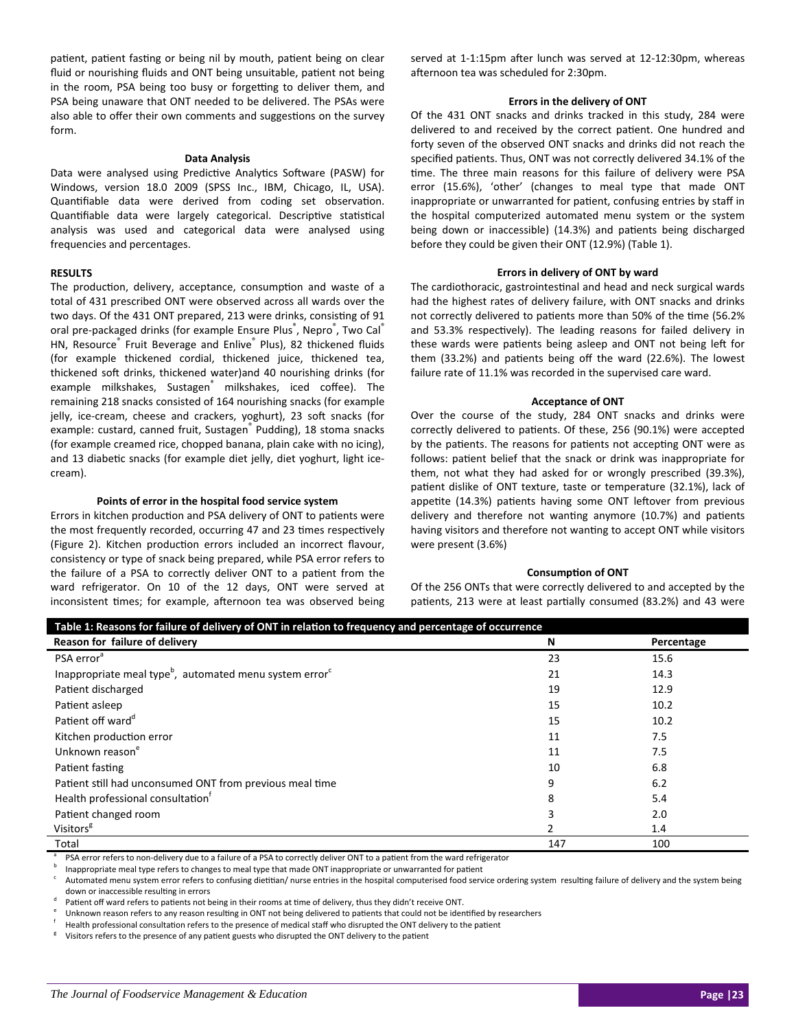patient, patient fasting or being nil by mouth, patient being on clear fluid or nourishing fluids and ONT being unsuitable, patient not being in the room, PSA being too busy or forgetting to deliver them, and PSA being unaware that ONT needed to be delivered. The PSAs were also able to offer their own comments and suggestions on the survey form.

#### **Data Analysis**

Data were analysed using Predictive Analytics Software (PASW) for Windows, version 18.0 2009 (SPSS Inc., IBM, Chicago, IL, USA). Quantifiable data were derived from coding set observation. Quantifiable data were largely categorical. Descriptive statistical analysis was used and categorical data were analysed using frequencies and percentages.

#### **RESULTS**

The production, delivery, acceptance, consumption and waste of a total of 431 prescribed ONT were observed across all wards over the two days. Of the 431 ONT prepared, 213 were drinks, consisting of 91 oral pre-packaged drinks (for example Ensure Plus<sup>®</sup>, Nepro®, Two Cal® HN, Resource<sup>®</sup> Fruit Beverage and Enlive<sup>®</sup> Plus), 82 thickened fluids (for example thickened cordial, thickened juice, thickened tea, thickened soft drinks, thickened water)and 40 nourishing drinks (for example milkshakes, Sustagen<sup>®</sup> milkshakes, iced coffee). The remaining 218 snacks consisted of 164 nourishing snacks (for example jelly, ice-cream, cheese and crackers, yoghurt), 23 soft snacks (for example: custard, canned fruit, Sustagen<sup>®</sup> Pudding), 18 stoma snacks (for example creamed rice, chopped banana, plain cake with no icing), and 13 diabetic snacks (for example diet jelly, diet yoghurt, light icecream).

#### **Points of error in the hospital food service system**

Errors in kitchen production and PSA delivery of ONT to patients were the most frequently recorded, occurring 47 and 23 times respectively (Figure 2). Kitchen production errors included an incorrect flavour, consistency or type of snack being prepared, while PSA error refers to the failure of a PSA to correctly deliver ONT to a patient from the ward refrigerator. On 10 of the 12 days, ONT were served at inconsistent times; for example, afternoon tea was observed being served at 1-1:15pm after lunch was served at 12-12:30pm, whereas afternoon tea was scheduled for 2:30pm.

#### **Errors in the delivery of ONT**

Of the 431 ONT snacks and drinks tracked in this study, 284 were delivered to and received by the correct patient. One hundred and forty seven of the observed ONT snacks and drinks did not reach the specified patients. Thus, ONT was not correctly delivered 34.1% of the time. The three main reasons for this failure of delivery were PSA error (15.6%), 'other' (changes to meal type that made ONT inappropriate or unwarranted for patient, confusing entries by staff in the hospital computerized automated menu system or the system being down or inaccessible) (14.3%) and patients being discharged before they could be given their ONT (12.9%) (Table 1).

#### **Errors in delivery of ONT by ward**

The cardiothoracic, gastrointestinal and head and neck surgical wards had the highest rates of delivery failure, with ONT snacks and drinks not correctly delivered to patients more than 50% of the time (56.2% and 53.3% respectively). The leading reasons for failed delivery in these wards were patients being asleep and ONT not being left for them (33.2%) and patients being off the ward (22.6%). The lowest failure rate of 11.1% was recorded in the supervised care ward.

#### **Acceptance of ONT**

Over the course of the study, 284 ONT snacks and drinks were correctly delivered to patients. Of these, 256 (90.1%) were accepted by the patients. The reasons for patients not accepting ONT were as follows: patient belief that the snack or drink was inappropriate for them, not what they had asked for or wrongly prescribed (39.3%), patient dislike of ONT texture, taste or temperature (32.1%), lack of appetite (14.3%) patients having some ONT leftover from previous delivery and therefore not wanting anymore (10.7%) and patients having visitors and therefore not wanting to accept ONT while visitors were present (3.6%)

#### **ConsumpƟon of ONT**

Of the 256 ONTs that were correctly delivered to and accepted by the patients, 213 were at least partially consumed (83.2%) and 43 were

| Table 1: Reasons for failure of delivery of ONT in relation to frequency and percentage of occurrence |     |            |  |  |
|-------------------------------------------------------------------------------------------------------|-----|------------|--|--|
| Reason for failure of delivery                                                                        | N   | Percentage |  |  |
| PSA error <sup>a</sup>                                                                                | 23  | 15.6       |  |  |
| Inappropriate meal type <sup>b</sup> , automated menu system error <sup>c</sup>                       | 21  | 14.3       |  |  |
| Patient discharged                                                                                    | 19  | 12.9       |  |  |
| Patient asleep                                                                                        | 15  | 10.2       |  |  |
| Patient off ward <sup>d</sup>                                                                         | 15  | 10.2       |  |  |
| Kitchen production error                                                                              | 11  | 7.5        |  |  |
| Unknown reason <sup>e</sup>                                                                           | 11  | 7.5        |  |  |
| Patient fasting                                                                                       | 10  | 6.8        |  |  |
| Patient still had unconsumed ONT from previous meal time                                              | 9   | 6.2        |  |  |
| Health professional consultation <sup>t</sup>                                                         | 8   | 5.4        |  |  |
| Patient changed room                                                                                  |     | 2.0        |  |  |
| Visitors <sup>8</sup>                                                                                 |     | 1.4        |  |  |
| Total                                                                                                 | 147 | 100        |  |  |

PSA error refers to non-delivery due to a failure of a PSA to correctly deliver ONT to a patient from the ward refrigerator

b Inappropriate meal type refers to changes to meal type that made ONT inappropriate or unwarranted for patient

Automated menu system error refers to confusing dietitian/ nurse entries in the hospital computerised food service ordering system resulting failure of delivery and the system being down or inaccessible resulting in errors

d Patient off ward refers to patients not being in their rooms at time of delivery, thus they didn't receive ONT.

e Unknown reason refers to any reason resulting in ONT not being delivered to patients that could not be identified by researchers

f Health professional consultation refers to the presence of medical staff who disrupted the ONT delivery to the patient

Visitors refers to the presence of any patient guests who disrupted the ONT delivery to the patient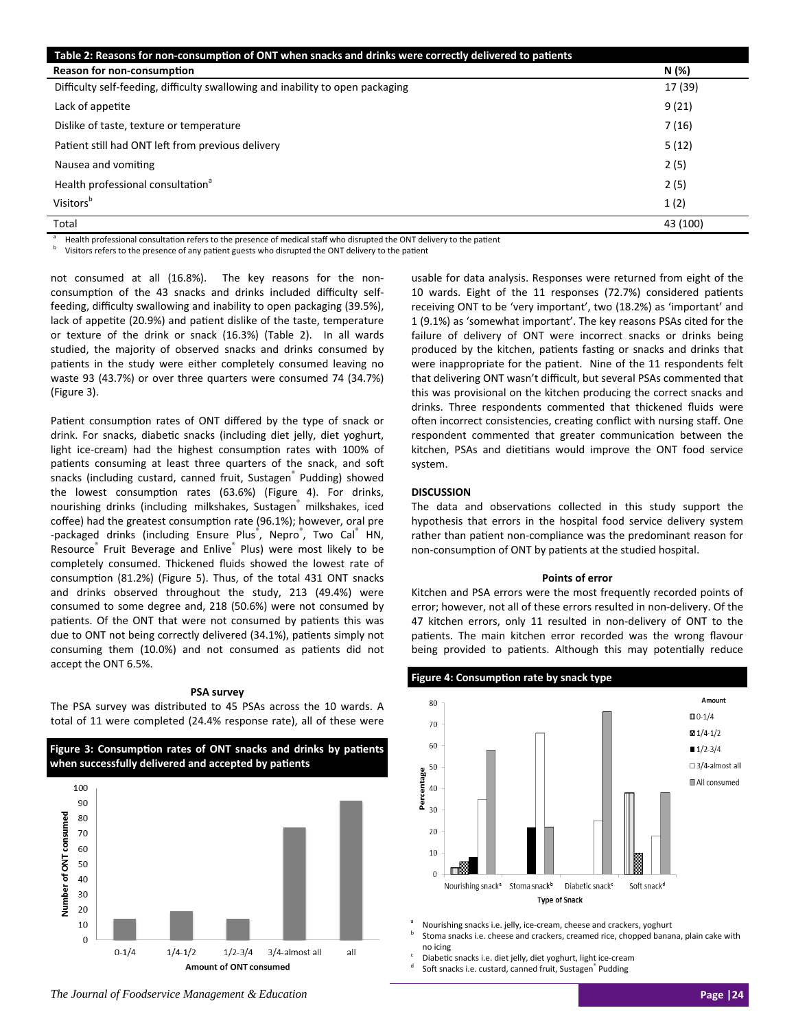| Table 2: Reasons for non-consumption of ONT when snacks and drinks were correctly delivered to patients |          |
|---------------------------------------------------------------------------------------------------------|----------|
| Reason for non-consumption                                                                              | N (%)    |
| Difficulty self-feeding, difficulty swallowing and inability to open packaging                          | 17 (39)  |
| Lack of appetite                                                                                        | 9(21)    |
| Dislike of taste, texture or temperature                                                                | 7(16)    |
| Patient still had ONT left from previous delivery                                                       | 5(12)    |
| Nausea and vomiting                                                                                     | 2(5)     |
| Health professional consultation <sup>a</sup>                                                           | 2(5)     |
| Visitors <sup>b</sup>                                                                                   | 1(2)     |
| Total                                                                                                   | 43 (100) |

Health professional consultation refers to the presence of medical staff who disrupted the ONT delivery to the patient

Visitors refers to the presence of any patient guests who disrupted the ONT delivery to the patient

not consumed at all (16.8%). The key reasons for the nonconsumption of the 43 snacks and drinks included difficulty selffeeding, difficulty swallowing and inability to open packaging (39.5%), lack of appetite (20.9%) and patient dislike of the taste, temperature or texture of the drink or snack (16.3%) (Table 2). In all wards studied, the majority of observed snacks and drinks consumed by patients in the study were either completely consumed leaving no waste 93 (43.7%) or over three quarters were consumed 74 (34.7%) (Figure 3).

Patient consumption rates of ONT differed by the type of snack or drink. For snacks, diabetic snacks (including diet jelly, diet yoghurt, light ice-cream) had the highest consumption rates with 100% of patients consuming at least three quarters of the snack, and soft snacks (including custard, canned fruit, Sustagen<sup>®</sup> Pudding) showed the lowest consumption rates (63.6%) (Figure 4). For drinks, nourishing drinks (including milkshakes, Sustagen milkshakes, iced coffee) had the greatest consumption rate (96.1%); however, oral pre -packaged drinks (including Ensure Plus<sup>®</sup>, Nepro<sup>®</sup>, Two Cal<sup>®</sup> HN, Resource<sup>®</sup> Fruit Beverage and Enlive<sup>®</sup> Plus) were most likely to be completely consumed. Thickened fluids showed the lowest rate of consumption (81.2%) (Figure 5). Thus, of the total 431 ONT snacks and drinks observed throughout the study, 213 (49.4%) were consumed to some degree and, 218 (50.6%) were not consumed by patients. Of the ONT that were not consumed by patients this was due to ONT not being correctly delivered (34.1%), patients simply not consuming them (10.0%) and not consumed as patients did not accept the ONT 6.5%.

#### **PSA survey**

The PSA survey was distributed to 45 PSAs across the 10 wards. A total of 11 were completed (24.4% response rate), all of these were



usable for data analysis. Responses were returned from eight of the 10 wards. Eight of the 11 responses (72.7%) considered patients receiving ONT to be 'very important', two (18.2%) as 'important' and 1 (9.1%) as 'somewhat important'. The key reasons PSAs cited for the failure of delivery of ONT were incorrect snacks or drinks being produced by the kitchen, patients fasting or snacks and drinks that were inappropriate for the patient. Nine of the 11 respondents felt that delivering ONT wasn't difficult, but several PSAs commented that this was provisional on the kitchen producing the correct snacks and drinks. Three respondents commented that thickened fluids were often incorrect consistencies, creating conflict with nursing staff. One respondent commented that greater communication between the kitchen, PSAs and dietitians would improve the ONT food service system.

## **DISCUSSION**

The data and observations collected in this study support the hypothesis that errors in the hospital food service delivery system rather than patient non-compliance was the predominant reason for non-consumption of ONT by patients at the studied hospital.

#### **Points of error**

Kitchen and PSA errors were the most frequently recorded points of error; however, not all of these errors resulted in non-delivery. Of the 47 kitchen errors, only 11 resulted in non-delivery of ONT to the patients. The main kitchen error recorded was the wrong flavour being provided to patients. Although this may potentially reduce



<sup>a</sup> Nourishing snacks i.e. jelly, ice‐cream, cheese and crackers, yoghurt

Stoma snacks i.e. cheese and crackers, creamed rice, chopped banana, plain cake with no icing

Diabetic snacks i.e. diet jelly, diet yoghurt, light ice-cream

Soft snacks i.e. custard, canned fruit, Sustagen<sup>®</sup> Pudding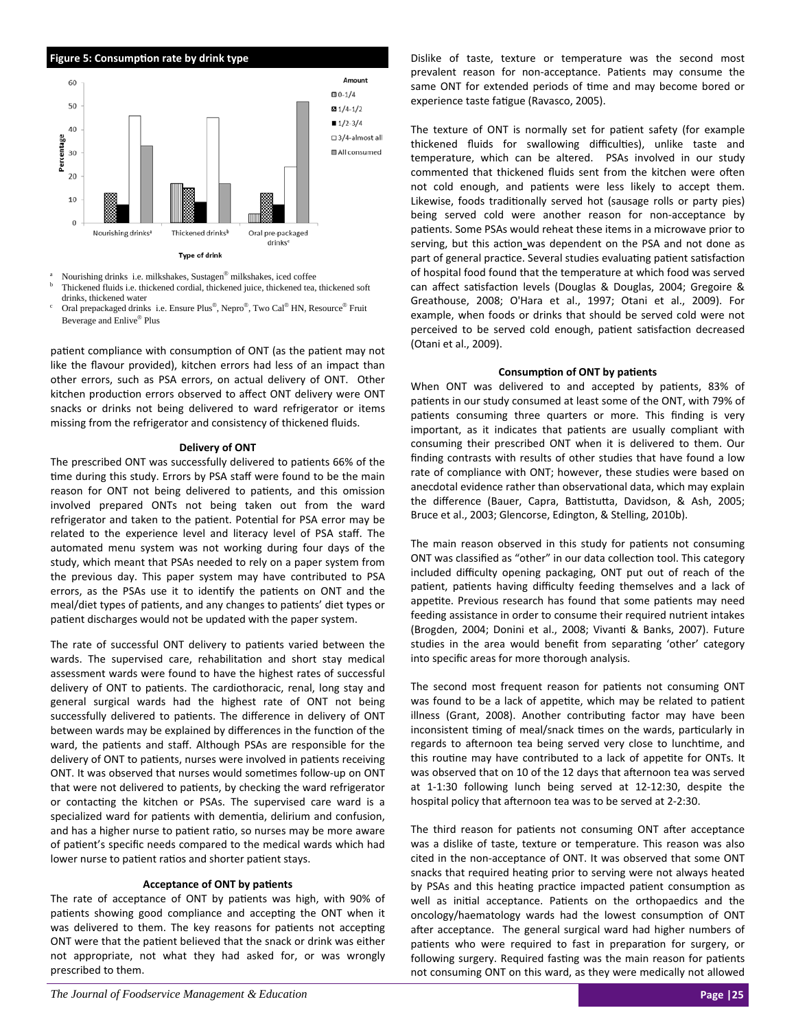

- a Nourishing drinks i.e. milkshakes, Sustagen® milkshakes, iced coffee b Thickened fluids i.e. thickened cordial, thickened juice, thickened tea, thickened soft
- drinks, thickened water c Oral prepackaged drinks i.e. Ensure Plus®, Nepro®, Two Cal® HN, Resource® Fruit Beverage and Enlive® Plus

patient compliance with consumption of ONT (as the patient may not like the flavour provided), kitchen errors had less of an impact than other errors, such as PSA errors, on actual delivery of ONT. Other kitchen production errors observed to affect ONT delivery were ONT snacks or drinks not being delivered to ward refrigerator or items missing from the refrigerator and consistency of thickened fluids.

## **Delivery of ONT**

The prescribed ONT was successfully delivered to patients 66% of the time during this study. Errors by PSA staff were found to be the main reason for ONT not being delivered to patients, and this omission involved prepared ONTs not being taken out from the ward refrigerator and taken to the patient. Potential for PSA error may be related to the experience level and literacy level of PSA staff. The automated menu system was not working during four days of the study, which meant that PSAs needed to rely on a paper system from the previous day. This paper system may have contributed to PSA errors, as the PSAs use it to identify the patients on ONT and the meal/diet types of patients, and any changes to patients' diet types or patient discharges would not be updated with the paper system.

The rate of successful ONT delivery to patients varied between the wards. The supervised care, rehabilitation and short stay medical assessment wards were found to have the highest rates of successful delivery of ONT to patients. The cardiothoracic, renal, long stay and general surgical wards had the highest rate of ONT not being successfully delivered to patients. The difference in delivery of ONT between wards may be explained by differences in the function of the ward, the patients and staff. Although PSAs are responsible for the delivery of ONT to patients, nurses were involved in patients receiving ONT. It was observed that nurses would sometimes follow-up on ONT that were not delivered to patients, by checking the ward refrigerator or contacting the kitchen or PSAs. The supervised care ward is a specialized ward for patients with dementia, delirium and confusion, and has a higher nurse to patient ratio, so nurses may be more aware of patient's specific needs compared to the medical wards which had lower nurse to patient ratios and shorter patient stays.

#### **Acceptance of ONT by paƟents**

The rate of acceptance of ONT by patients was high, with 90% of patients showing good compliance and accepting the ONT when it was delivered to them. The key reasons for patients not accepting ONT were that the patient believed that the snack or drink was either not appropriate, not what they had asked for, or was wrongly prescribed to them.

Dislike of taste, texture or temperature was the second most prevalent reason for non-acceptance. Patients may consume the same ONT for extended periods of time and may become bored or experience taste fatigue (Ravasco, 2005).

The texture of ONT is normally set for patient safety (for example thickened fluids for swallowing difficulties), unlike taste and temperature, which can be altered. PSAs involved in our study commented that thickened fluids sent from the kitchen were often not cold enough, and patients were less likely to accept them. Likewise, foods traditionally served hot (sausage rolls or party pies) being served cold were another reason for non-acceptance by patients. Some PSAs would reheat these items in a microwave prior to serving, but this action was dependent on the PSA and not done as part of general practice. Several studies evaluating patient satisfaction of hospital food found that the temperature at which food was served can affect satisfaction levels (Douglas & Douglas, 2004; Gregoire & Greathouse, 2008; O'Hara et al., 1997; Otani et al., 2009). For example, when foods or drinks that should be served cold were not perceived to be served cold enough, patient satisfaction decreased (Otani et al., 2009).

## **ConsumpƟon of ONT by paƟents**

When ONT was delivered to and accepted by patients, 83% of patients in our study consumed at least some of the ONT, with 79% of patients consuming three quarters or more. This finding is very important, as it indicates that patients are usually compliant with consuming their prescribed ONT when it is delivered to them. Our finding contrasts with results of other studies that have found a low rate of compliance with ONT; however, these studies were based on anecdotal evidence rather than observational data, which may explain the difference (Bauer, Capra, Battistutta, Davidson, & Ash, 2005; Bruce et al., 2003; Glencorse, Edington, & Stelling, 2010b).

The main reason observed in this study for patients not consuming ONT was classified as "other" in our data collection tool. This category included difficulty opening packaging, ONT put out of reach of the patient, patients having difficulty feeding themselves and a lack of appetite. Previous research has found that some patients may need feeding assistance in order to consume their required nutrient intakes (Brogden, 2004; Donini et al., 2008; Vivanti & Banks, 2007). Future studies in the area would benefit from separating 'other' category into specific areas for more thorough analysis.

The second most frequent reason for patients not consuming ONT was found to be a lack of appetite, which may be related to patient illness (Grant, 2008). Another contributing factor may have been inconsistent timing of meal/snack times on the wards, particularly in regards to afternoon tea being served very close to lunchtime, and this routine may have contributed to a lack of appetite for ONTs. It was observed that on 10 of the 12 days that afternoon tea was served at 1‐1:30 following lunch being served at 12‐12:30, despite the hospital policy that afternoon tea was to be served at 2-2:30.

The third reason for patients not consuming ONT after acceptance was a dislike of taste, texture or temperature. This reason was also cited in the non‐acceptance of ONT. It was observed that some ONT snacks that required heating prior to serving were not always heated by PSAs and this heating practice impacted patient consumption as well as initial acceptance. Patients on the orthopaedics and the oncology/haematology wards had the lowest consumption of ONT after acceptance. The general surgical ward had higher numbers of patients who were required to fast in preparation for surgery, or following surgery. Required fasting was the main reason for patients not consuming ONT on this ward, as they were medically not allowed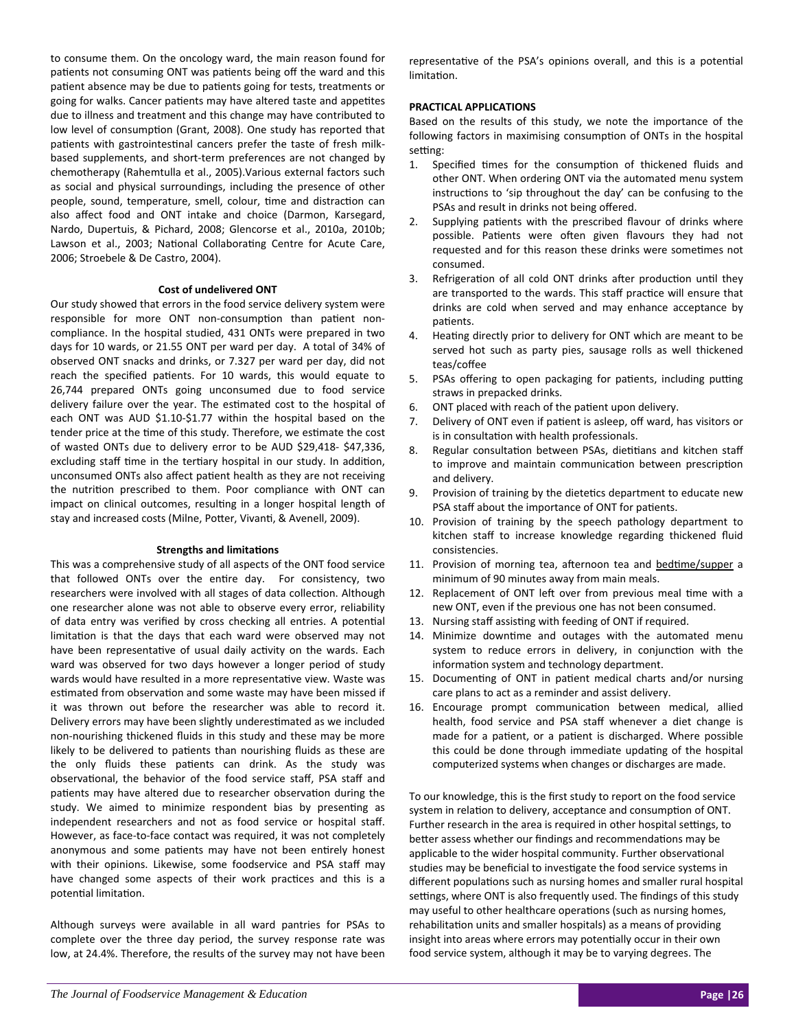to consume them. On the oncology ward, the main reason found for patients not consuming ONT was patients being off the ward and this patient absence may be due to patients going for tests, treatments or going for walks. Cancer patients may have altered taste and appetites due to illness and treatment and this change may have contributed to low level of consumption (Grant, 2008). One study has reported that patients with gastrointestinal cancers prefer the taste of fresh milkbased supplements, and short‐term preferences are not changed by chemotherapy (Rahemtulla et al., 2005).Various external factors such as social and physical surroundings, including the presence of other people, sound, temperature, smell, colour, time and distraction can also affect food and ONT intake and choice (Darmon, Karsegard, Nardo, Dupertuis, & Pichard, 2008; Glencorse et al., 2010a, 2010b; Lawson et al., 2003; National Collaborating Centre for Acute Care, 2006; Stroebele & De Castro, 2004).

#### **Cost of undelivered ONT**

Our study showed that errors in the food service delivery system were responsible for more ONT non-consumption than patient noncompliance. In the hospital studied, 431 ONTs were prepared in two days for 10 wards, or 21.55 ONT per ward per day. A total of 34% of observed ONT snacks and drinks, or 7.327 per ward per day, did not reach the specified patients. For 10 wards, this would equate to 26,744 prepared ONTs going unconsumed due to food service delivery failure over the year. The estimated cost to the hospital of each ONT was AUD \$1.10-\$1.77 within the hospital based on the tender price at the time of this study. Therefore, we estimate the cost of wasted ONTs due to delivery error to be AUD \$29,418‐ \$47,336, excluding staff time in the tertiary hospital in our study. In addition, unconsumed ONTs also affect patient health as they are not receiving the nutrition prescribed to them. Poor compliance with ONT can impact on clinical outcomes, resulting in a longer hospital length of stay and increased costs (Milne, Potter, Vivanti, & Avenell, 2009).

#### **Strengths and limitaƟons**

This was a comprehensive study of all aspects of the ONT food service that followed ONTs over the entire day. For consistency, two researchers were involved with all stages of data collection. Although one researcher alone was not able to observe every error, reliability of data entry was verified by cross checking all entries. A potential limitation is that the days that each ward were observed may not have been representative of usual daily activity on the wards. Each ward was observed for two days however a longer period of study wards would have resulted in a more representative view. Waste was estimated from observation and some waste may have been missed if it was thrown out before the researcher was able to record it. Delivery errors may have been slightly underestimated as we included non‐nourishing thickened fluids in this study and these may be more likely to be delivered to patients than nourishing fluids as these are the only fluids these patients can drink. As the study was observational, the behavior of the food service staff, PSA staff and patients may have altered due to researcher observation during the study. We aimed to minimize respondent bias by presenting as independent researchers and not as food service or hospital staff. However, as face‐to‐face contact was required, it was not completely anonymous and some patients may have not been entirely honest with their opinions. Likewise, some foodservice and PSA staff may have changed some aspects of their work practices and this is a potential limitation.

Although surveys were available in all ward pantries for PSAs to complete over the three day period, the survey response rate was low, at 24.4%. Therefore, the results of the survey may not have been representative of the PSA's opinions overall, and this is a potential limitation.

## **PRACTICAL APPLICATIONS**

Based on the results of this study, we note the importance of the following factors in maximising consumption of ONTs in the hospital setting:

- 1. Specified times for the consumption of thickened fluids and other ONT. When ordering ONT via the automated menu system instructions to 'sip throughout the day' can be confusing to the PSAs and result in drinks not being offered.
- 2. Supplying patients with the prescribed flavour of drinks where possible. Patients were often given flavours they had not requested and for this reason these drinks were sometimes not consumed.
- 3. Refrigeration of all cold ONT drinks after production until they are transported to the wards. This staff practice will ensure that drinks are cold when served and may enhance acceptance by patients.
- 4. Heating directly prior to delivery for ONT which are meant to be served hot such as party pies, sausage rolls as well thickened teas/coffee
- 5. PSAs offering to open packaging for patients, including putting straws in prepacked drinks.
- 6. ONT placed with reach of the patient upon delivery.
- 7. Delivery of ONT even if patient is asleep, off ward, has visitors or is in consultation with health professionals.
- 8. Regular consultation between PSAs, dietitians and kitchen staff to improve and maintain communication between prescription and delivery.
- 9. Provision of training by the dietetics department to educate new PSA staff about the importance of ONT for patients.
- 10. Provision of training by the speech pathology department to kitchen staff to increase knowledge regarding thickened fluid consistencies.
- 11. Provision of morning tea, afternoon tea and bedtime/supper a minimum of 90 minutes away from main meals.
- 12. Replacement of ONT left over from previous meal time with a new ONT, even if the previous one has not been consumed.
- 13. Nursing staff assisting with feeding of ONT if required.
- 14. Minimize downtime and outages with the automated menu system to reduce errors in delivery, in conjunction with the information system and technology department.
- 15. Documenting of ONT in patient medical charts and/or nursing care plans to act as a reminder and assist delivery.
- 16. Encourage prompt communication between medical, allied health, food service and PSA staff whenever a diet change is made for a patient, or a patient is discharged. Where possible this could be done through immediate updating of the hospital computerized systems when changes or discharges are made.

To our knowledge, this is the first study to report on the food service system in relation to delivery, acceptance and consumption of ONT. Further research in the area is required in other hospital settings, to better assess whether our findings and recommendations may be applicable to the wider hospital community. Further observational studies may be beneficial to investigate the food service systems in different populations such as nursing homes and smaller rural hospital settings, where ONT is also frequently used. The findings of this study may useful to other healthcare operations (such as nursing homes, rehabilitation units and smaller hospitals) as a means of providing insight into areas where errors may potentially occur in their own food service system, although it may be to varying degrees. The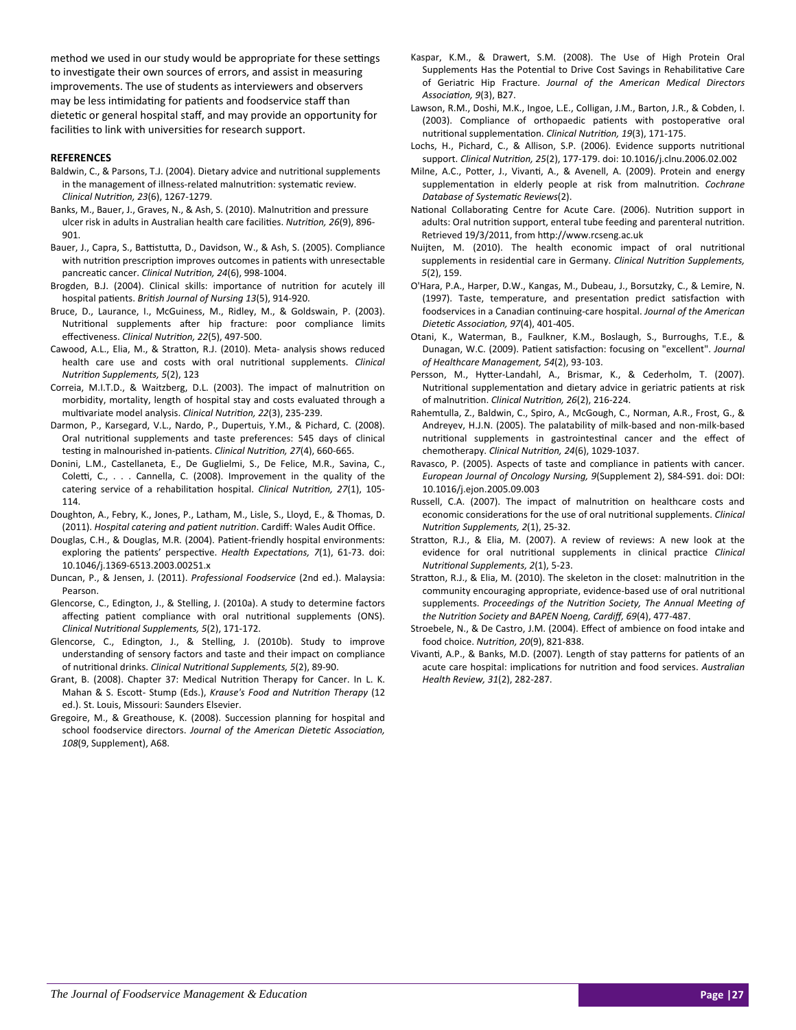method we used in our study would be appropriate for these settings to investigate their own sources of errors, and assist in measuring improvements. The use of students as interviewers and observers may be less intimidating for patients and foodservice staff than dietetic or general hospital staff, and may provide an opportunity for facilities to link with universities for research support.

## **REFERENCES**

- Baldwin, C., & Parsons, T.J. (2004). Dietary advice and nutritional supplements in the management of illness-related malnutrition: systematic review. *Clinical NutriƟon, 23*(6), 1267‐1279.
- Banks, M., Bauer, J., Graves, N., & Ash, S. (2010). Malnutrition and pressure ulcer risk in adults in Australian health care facilities. *Nutrition*, 26(9), 896-901.
- Bauer, J., Capra, S., Battistutta, D., Davidson, W., & Ash, S. (2005). Compliance with nutrition prescription improves outcomes in patients with unresectable pancreaƟc cancer. *Clinical NutriƟon, 24*(6), 998‐1004.
- Brogden, B.J. (2004). Clinical skills: importance of nutrition for acutely ill hospital paƟents. *BriƟsh Journal of Nursing 13*(5), 914‐920.
- Bruce, D., Laurance, I., McGuiness, M., Ridley, M., & Goldswain, P. (2003). Nutritional supplements after hip fracture: poor compliance limits effecƟveness. *Clinical NutriƟon, 22*(5), 497‐500.
- Cawood, A.L., Elia, M., & Stratton, R.J. (2010). Meta- analysis shows reduced health care use and costs with oral nutritional supplements. *Clinical NutriƟon Supplements, 5*(2), 123
- Correia, M.I.T.D., & Waitzberg, D.L. (2003). The impact of malnutrition on morbidity, mortality, length of hospital stay and costs evaluated through a mulƟvariate model analysis. *Clinical NutriƟon, 22*(3), 235‐239.
- Darmon, P., Karsegard, V.L., Nardo, P., Dupertuis, Y.M., & Pichard, C. (2008). Oral nutritional supplements and taste preferences: 545 days of clinical testing in malnourished in-patients. *Clinical Nutrition, 27*(4), 660-665.
- Donini, L.M., Castellaneta, E., De Guglielmi, S., De Felice, M.R., Savina, C., Coletti, C., . . . Cannella, C. (2008). Improvement in the quality of the catering service of a rehabilitation hospital. *Clinical Nutrition, 27*(1), 105-114.
- Doughton, A., Febry, K., Jones, P., Latham, M., Lisle, S., Lloyd, E., & Thomas, D. (2011). *Hospital catering and paƟent nutriƟon*. Cardiff: Wales Audit Office.
- Douglas, C.H., & Douglas, M.R. (2004). Patient-friendly hospital environments: exploring the patients' perspective. *Health Expectations, 7*(1), 61-73. doi: 10.1046/j.1369‐6513.2003.00251.x
- Duncan, P., & Jensen, J. (2011). *Professional Foodservice* (2nd ed.). Malaysia: Pearson.
- Glencorse, C., Edington, J., & Stelling, J. (2010a). A study to determine factors affecting patient compliance with oral nutritional supplements (ONS). *Clinical NutriƟonal Supplements, 5*(2), 171‐172.
- Glencorse, C., Edington, J., & Stelling, J. (2010b). Study to improve understanding of sensory factors and taste and their impact on compliance of nutriƟonal drinks. *Clinical NutriƟonal Supplements, 5*(2), 89‐90.
- Grant, B. (2008). Chapter 37: Medical Nutrition Therapy for Cancer. In L. K. Mahan & S. EscoƩ‐ Stump (Eds.), *Krause's Food and NutriƟon Therapy* (12 ed.). St. Louis, Missouri: Saunders Elsevier.
- Gregoire, M., & Greathouse, K. (2008). Succession planning for hospital and school foodservice directors. *Journal of the American DieteƟc AssociaƟon, 108*(9, Supplement), A68.
- Kaspar, K.M., & Drawert, S.M. (2008). The Use of High Protein Oral Supplements Has the Potential to Drive Cost Savings in Rehabilitative Care of Geriatric Hip Fracture. *Journal of the American Medical Directors AssociaƟon, 9*(3), B27.
- Lawson, R.M., Doshi, M.K., Ingoe, L.E., Colligan, J.M., Barton, J.R., & Cobden, I. (2003). Compliance of orthopaedic patients with postoperative oral nutriƟonal supplementaƟon. *Clinical NutriƟon, 19*(3), 171‐175.
- Lochs, H., Pichard, C., & Allison, S.P. (2006). Evidence supports nutritional support. *Clinical NutriƟon, 25*(2), 177‐179. doi: 10.1016/j.clnu.2006.02.002
- Milne, A.C., Potter, J., Vivanti, A., & Avenell, A. (2009). Protein and energy supplementation in elderly people at risk from malnutrition. *Cochrane Database of SystemaƟc Reviews*(2).
- National Collaborating Centre for Acute Care. (2006). Nutrition support in adults: Oral nutrition support, enteral tube feeding and parenteral nutrition. Retrieved 19/3/2011, from http://www.rcseng.ac.uk
- Nuijten, M. (2010). The health economic impact of oral nutritional supplements in residenƟal care in Germany. *Clinical NutriƟon Supplements, 5*(2), 159.
- O'Hara, P.A., Harper, D.W., Kangas, M., Dubeau, J., Borsutzky, C., & Lemire, N. (1997). Taste, temperature, and presentation predict satisfaction with foodservices in a Canadian conƟnuing‐care hospital. *Journal of the American DieteƟc AssociaƟon, 97*(4), 401‐405.
- Otani, K., Waterman, B., Faulkner, K.M., Boslaugh, S., Burroughs, T.E., & Dunagan, W.C. (2009). Patient satisfaction: focusing on "excellent". *Journal of Healthcare Management, 54*(2), 93‐103.
- Persson, M., Hytter-Landahl, A., Brismar, K., & Cederholm, T. (2007). Nutritional supplementation and dietary advice in geriatric patients at risk of malnutriƟon. *Clinical NutriƟon, 26*(2), 216‐224.
- Rahemtulla, Z., Baldwin, C., Spiro, A., McGough, C., Norman, A.R., Frost, G., & Andreyev, H.J.N. (2005). The palatability of milk‐based and non‐milk‐based nutritional supplements in gastrointestinal cancer and the effect of chemotherapy. *Clinical NutriƟon, 24*(6), 1029‐1037.
- Ravasco, P. (2005). Aspects of taste and compliance in patients with cancer. *European Journal of Oncology Nursing, 9*(Supplement 2), S84‐S91. doi: DOI: 10.1016/j.ejon.2005.09.003
- Russell, C.A. (2007). The impact of malnutrition on healthcare costs and economic considerations for the use of oral nutritional supplements. *Clinical NutriƟon Supplements, 2*(1), 25‐32.
- Stratton, R.J., & Elia, M. (2007). A review of reviews: A new look at the evidence for oral nutritional supplements in clinical practice *Clinical NutriƟonal Supplements, 2*(1), 5‐23.
- Stratton, R.J., & Elia, M. (2010). The skeleton in the closet: malnutrition in the community encouraging appropriate, evidence-based use of oral nutritional supplements. *Proceedings of the NutriƟon Society, The Annual MeeƟng of the NutriƟon Society and BAPEN Noeng, Cardiff, 69*(4), 477‐487.
- Stroebele, N., & De Castro, J.M. (2004). Effect of ambience on food intake and food choice. *NutriƟon, 20*(9), 821‐838.
- Vivanti, A.P., & Banks, M.D. (2007). Length of stay patterns for patients of an acute care hospital: implications for nutrition and food services. Australian *Health Review, 31*(2), 282‐287.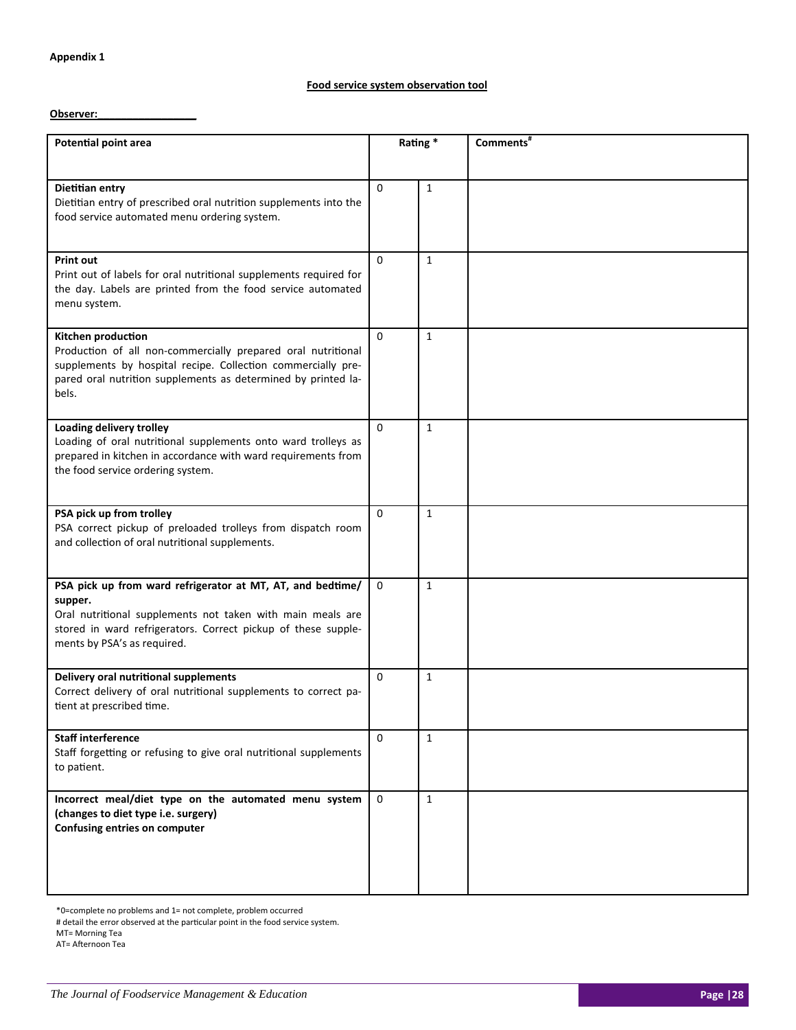## **Food service system observaƟon tool**

**Observer:\_\_\_\_\_\_\_\_\_\_\_\_\_\_\_\_\_**

| <b>Potential point area</b>                                                                                                                                                                                                         | Rating*     |              | Comments <sup>#</sup> |
|-------------------------------------------------------------------------------------------------------------------------------------------------------------------------------------------------------------------------------------|-------------|--------------|-----------------------|
|                                                                                                                                                                                                                                     |             |              |                       |
| Dietitian entry<br>Dietitian entry of prescribed oral nutrition supplements into the                                                                                                                                                | $\Omega$    | $\mathbf{1}$ |                       |
| food service automated menu ordering system.                                                                                                                                                                                        |             |              |                       |
| <b>Print out</b><br>Print out of labels for oral nutritional supplements required for<br>the day. Labels are printed from the food service automated<br>menu system.                                                                | $\Omega$    | $\mathbf{1}$ |                       |
| Kitchen production<br>Production of all non-commercially prepared oral nutritional<br>supplements by hospital recipe. Collection commercially pre-<br>pared oral nutrition supplements as determined by printed la-<br>bels.        | $\Omega$    | $\mathbf{1}$ |                       |
| <b>Loading delivery trolley</b><br>Loading of oral nutritional supplements onto ward trolleys as<br>prepared in kitchen in accordance with ward requirements from<br>the food service ordering system.                              | $\Omega$    | $\mathbf{1}$ |                       |
| PSA pick up from trolley<br>PSA correct pickup of preloaded trolleys from dispatch room<br>and collection of oral nutritional supplements.                                                                                          | $\Omega$    | $\mathbf{1}$ |                       |
| PSA pick up from ward refrigerator at MT, AT, and bedtime/<br>supper.<br>Oral nutritional supplements not taken with main meals are<br>stored in ward refrigerators. Correct pickup of these supple-<br>ments by PSA's as required. | $\Omega$    | $\mathbf{1}$ |                       |
| Delivery oral nutritional supplements<br>Correct delivery of oral nutritional supplements to correct pa-<br>tient at prescribed time.                                                                                               | $\mathbf 0$ | $\mathbf{1}$ |                       |
| <b>Staff interference</b><br>Staff forgetting or refusing to give oral nutritional supplements<br>to patient.                                                                                                                       | 0           | $\mathbf{1}$ |                       |
| Incorrect meal/diet type on the automated menu system<br>(changes to diet type i.e. surgery)<br>Confusing entries on computer                                                                                                       | $\mathbf 0$ | $\mathbf{1}$ |                       |

\*0=complete no problems and 1= not complete, problem occurred

# detail the error observed at the parƟcular point in the food service system.

MT= Morning Tea

AT= Afternoon Tea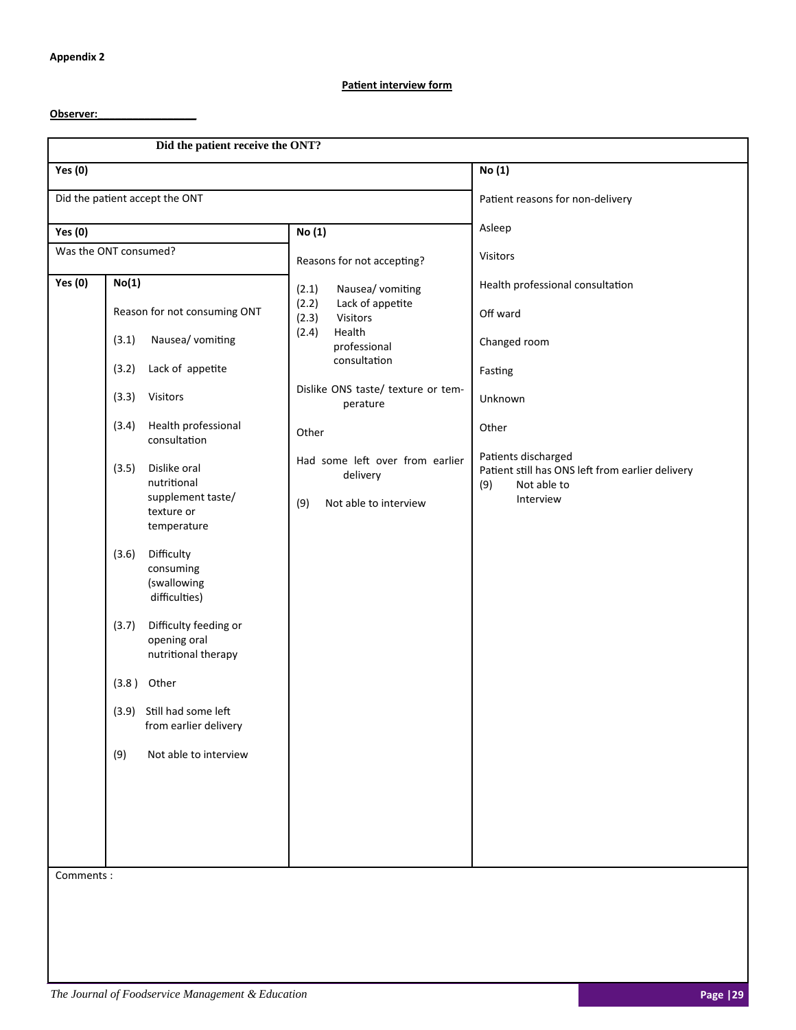## **Patient interview form**

## **Observer:\_\_\_\_\_\_\_\_\_\_\_\_\_\_\_\_\_**

|                | Did the patient receive the ONT?                                                                                                          |                                                                             |                                                                                                            |
|----------------|-------------------------------------------------------------------------------------------------------------------------------------------|-----------------------------------------------------------------------------|------------------------------------------------------------------------------------------------------------|
| <b>Yes (0)</b> |                                                                                                                                           |                                                                             | No (1)                                                                                                     |
|                | Did the patient accept the ONT                                                                                                            |                                                                             | Patient reasons for non-delivery                                                                           |
| <b>Yes (0)</b> |                                                                                                                                           | No (1)                                                                      | Asleep                                                                                                     |
|                | Was the ONT consumed?                                                                                                                     | Reasons for not accepting?                                                  | <b>Visitors</b>                                                                                            |
| <b>Yes (0)</b> | No(1)                                                                                                                                     | Nausea/ vomiting<br>(2.1)<br>(2.2)<br>Lack of appetite                      | Health professional consultation                                                                           |
|                | Reason for not consuming ONT<br>Nausea/ vomiting<br>(3.1)                                                                                 | (2.3)<br>Visitors<br>Health<br>(2.4)                                        | Off ward<br>Changed room                                                                                   |
|                | Lack of appetite<br>(3.2)                                                                                                                 | professional<br>consultation                                                | Fasting                                                                                                    |
|                | (3.3)<br>Visitors                                                                                                                         | Dislike ONS taste/ texture or tem-<br>perature                              | Unknown                                                                                                    |
|                | Health professional<br>(3.4)<br>consultation                                                                                              | Other                                                                       | Other                                                                                                      |
|                | (3.5)<br>Dislike oral<br>nutritional<br>supplement taste/<br>texture or<br>temperature<br>Difficulty<br>(3.6)<br>consuming<br>(swallowing | Had some left over from earlier<br>delivery<br>Not able to interview<br>(9) | Patients discharged<br>Patient still has ONS left from earlier delivery<br>Not able to<br>(9)<br>Interview |
|                | difficulties)<br>(3.7)<br>Difficulty feeding or<br>opening oral<br>nutritional therapy                                                    |                                                                             |                                                                                                            |
|                | (3.8)<br>Other                                                                                                                            |                                                                             |                                                                                                            |
|                | (3.9) Still had some left<br>from earlier delivery                                                                                        |                                                                             |                                                                                                            |
|                | Not able to interview<br>(9)                                                                                                              |                                                                             |                                                                                                            |
|                |                                                                                                                                           |                                                                             |                                                                                                            |
| Comments:      |                                                                                                                                           |                                                                             |                                                                                                            |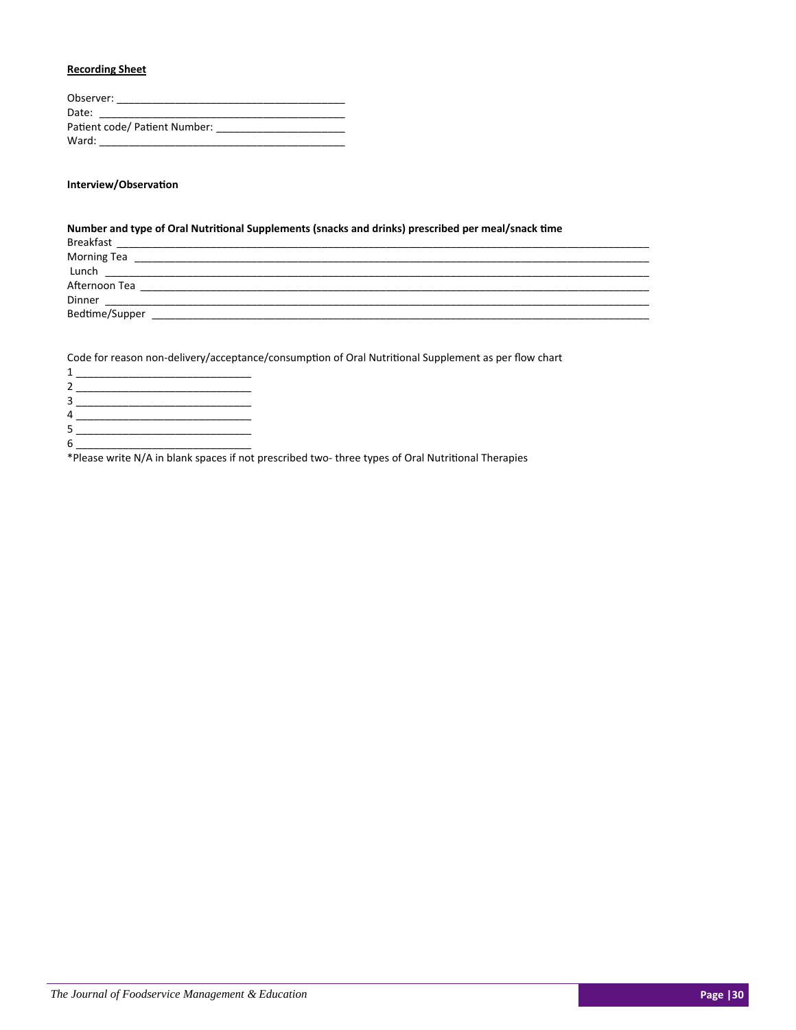## **Recording Sheet**

| Observer:                     |
|-------------------------------|
| Date:                         |
| Patient code/ Patient Number: |
| Ward:                         |

## **Interview/ObservaƟon**

| Number and type of Oral Nutritional Supplements (snacks and drinks) prescribed per meal/snack time                                                                                                                             |  |
|--------------------------------------------------------------------------------------------------------------------------------------------------------------------------------------------------------------------------------|--|
|                                                                                                                                                                                                                                |  |
|                                                                                                                                                                                                                                |  |
|                                                                                                                                                                                                                                |  |
| Afternoon Tea and the control of the control of the control of the control of the control of the control of the control of the control of the control of the control of the control of the control of the control of the contr |  |
| Dinner                                                                                                                                                                                                                         |  |
| Bedtime/Supper                                                                                                                                                                                                                 |  |

Code for reason non-delivery/acceptance/consumption of Oral Nutritional Supplement as per flow chart

| $\mathcal{P}$  |               |
|----------------|---------------|
| $\overline{3}$ |               |
| 4              |               |
| 5              |               |
| 6              |               |
| $\lambda = 1$  | $\sim$ $\sim$ |

\*Please write N/A in blank spaces if not prescribed two-three types of Oral Nutritional Therapies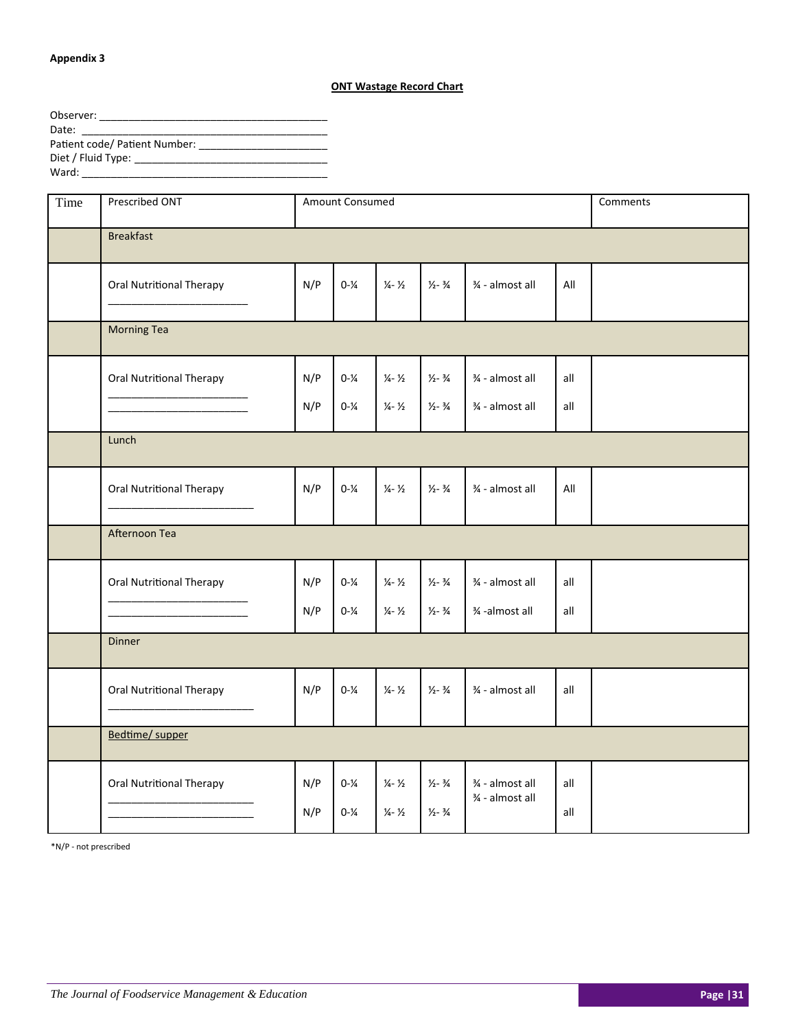## **Appendix 3**

## **ONT Wastage Record Chart**

| Observer:                     |
|-------------------------------|
| Date:                         |
| Patient code/ Patient Number: |
|                               |
| Ward:                         |

| Time | Prescribed ONT                  | Amount Consumed |                                        |                                                            |                                                            |                                  | Comments   |  |  |
|------|---------------------------------|-----------------|----------------------------------------|------------------------------------------------------------|------------------------------------------------------------|----------------------------------|------------|--|--|
|      | <b>Breakfast</b>                |                 |                                        |                                                            |                                                            |                                  |            |  |  |
|      | <b>Oral Nutritional Therapy</b> | N/P             | $0 - \frac{1}{4}$                      | $\frac{1}{4} - \frac{1}{2}$                                | $\frac{1}{2} - \frac{3}{4}$                                | ¾ - almost all                   | All        |  |  |
|      | <b>Morning Tea</b>              |                 |                                        |                                                            |                                                            |                                  |            |  |  |
|      | <b>Oral Nutritional Therapy</b> | N/P             | $0 - \frac{1}{4}$                      | $\frac{1}{4} - \frac{1}{2}$                                | $\frac{1}{2} - \frac{3}{4}$                                | ¾ - almost all                   | all        |  |  |
|      |                                 | N/P             | $0 - \frac{1}{4}$                      | $\frac{1}{4} - \frac{1}{2}$                                | $\frac{1}{2} - \frac{3}{4}$                                | 3⁄4 - almost all                 | all        |  |  |
|      | Lunch                           |                 |                                        |                                                            |                                                            |                                  |            |  |  |
|      | Oral Nutritional Therapy        | N/P             | $0 - \frac{1}{4}$                      | $\frac{1}{4} - \frac{1}{2}$                                | $\frac{1}{2} - \frac{3}{4}$                                | ¾ - almost all                   | All        |  |  |
|      | Afternoon Tea                   |                 |                                        |                                                            |                                                            |                                  |            |  |  |
|      | Oral Nutritional Therapy        | N/P             | $0 - \frac{1}{4}$                      | $\frac{1}{4} - \frac{1}{2}$                                | $\frac{1}{2} - \frac{3}{4}$                                | 3⁄4 - almost all                 | all        |  |  |
|      |                                 | N/P             | $0 - \frac{1}{4}$                      | $\frac{1}{4} - \frac{1}{2}$                                | $\frac{1}{2} - \frac{3}{4}$                                | 3⁄4 -almost all                  | all        |  |  |
|      | <b>Dinner</b>                   |                 |                                        |                                                            |                                                            |                                  |            |  |  |
|      | Oral Nutritional Therapy        | N/P             | $0 - \frac{1}{4}$                      | $\frac{1}{4} - \frac{1}{2}$                                | $\frac{1}{2} - \frac{3}{4}$                                | ¾ - almost all                   | all        |  |  |
|      | Bedtime/ supper                 |                 |                                        |                                                            |                                                            |                                  |            |  |  |
|      | <b>Oral Nutritional Therapy</b> | N/P<br>N/P      | $0 - \frac{1}{4}$<br>$0 - \frac{1}{4}$ | $\frac{1}{4} - \frac{1}{2}$<br>$\frac{1}{4} - \frac{1}{2}$ | $\frac{1}{2} - \frac{3}{4}$<br>$\frac{1}{2} - \frac{3}{4}$ | ¾ - almost all<br>¾ - almost all | all<br>all |  |  |
|      |                                 |                 |                                        |                                                            |                                                            |                                  |            |  |  |

\*N/P ‐ not prescribed